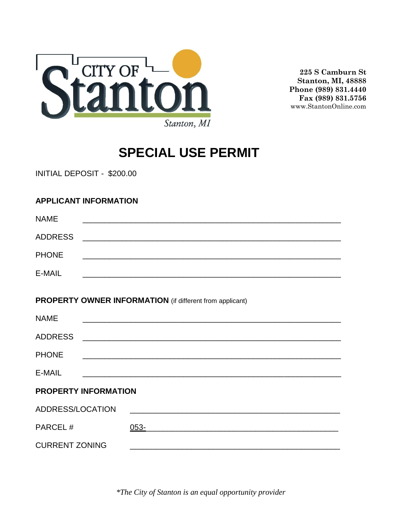

**225 S Camburn St Stanton, MI, 48888 Phone (989) 831.4440 Fax (989) 831.5756** www.StantonOnline.com

# **SPECIAL USE PERMIT**

INITIAL DEPOSIT - \$200.00

### **APPLICANT INFORMATION**

| <b>NAME</b>                                                                                 | <u> 1989 - Johann Stoff, amerikansk politiker (* 1908)</u>                                                            |  |  |
|---------------------------------------------------------------------------------------------|-----------------------------------------------------------------------------------------------------------------------|--|--|
| <b>ADDRESS</b>                                                                              |                                                                                                                       |  |  |
| <b>PHONE</b>                                                                                |                                                                                                                       |  |  |
| E-MAIL                                                                                      | <u> 1989 - Johann John Stone, Amerikaansk politiker (* 1958)</u>                                                      |  |  |
| <b>PROPERTY OWNER INFORMATION</b> (if different from applicant)                             |                                                                                                                       |  |  |
| <b>NAME</b>                                                                                 | <u> 1989 - Johann John Stoff, deutscher Stoffen und der Stoffen und der Stoffen und der Stoffen und der Stoffen u</u> |  |  |
| <b>ADDRESS</b>                                                                              |                                                                                                                       |  |  |
| <b>PHONE</b>                                                                                | <u> 1989 - Johann Stoff, amerikansk politiker (d. 1989)</u>                                                           |  |  |
| E-MAIL                                                                                      | <u> 1989 - Johann Stoff, deutscher Stoff, der Stoff, der Stoff, der Stoff, der Stoff, der Stoff, der Stoff, der S</u> |  |  |
| <b>PROPERTY INFORMATION</b>                                                                 |                                                                                                                       |  |  |
| ADDRESS/LOCATION                                                                            |                                                                                                                       |  |  |
| PARCEL#                                                                                     | $053 -$<br><u> 1989 - Johann Stoff, amerikansk politiker (d. 1989)</u>                                                |  |  |
| <b>CURRENT ZONING</b><br><u> 1989 - Johann Barbara, margaret eta biztanleria (h. 1989).</u> |                                                                                                                       |  |  |

*\*The City of Stanton is an equal opportunity provider*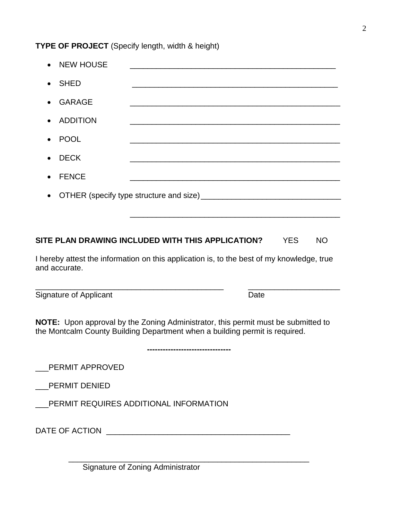#### **TYPE OF PROJECT** (Specify length, width & height)

| • NEW HOUSE    |                                                                        |
|----------------|------------------------------------------------------------------------|
| • SHED         |                                                                        |
| • GARAGE       | <u> 1980 - Jan Barbara, martin da kasar Amerikaan kasar Indonesia.</u> |
| • ADDITION     |                                                                        |
| • POOL         |                                                                        |
| $\bullet$ DECK |                                                                        |
| • FENCE        |                                                                        |
|                |                                                                        |
|                |                                                                        |

#### **SITE PLAN DRAWING INCLUDED WITH THIS APPLICATION?** YES NO

I hereby attest the information on this application is, to the best of my knowledge, true and accurate.

\_\_\_\_\_\_\_\_\_\_\_\_\_\_\_\_\_\_\_\_\_\_\_\_\_\_\_\_\_\_\_\_\_\_\_\_\_\_\_\_\_\_\_ \_\_\_\_\_\_\_\_\_\_\_\_\_\_\_\_\_\_\_\_\_

Signature of Applicant **Date** 

**NOTE:** Upon approval by the Zoning Administrator, this permit must be submitted to the Montcalm County Building Department when a building permit is required.

**--------------------------------**

\_\_\_\_\_\_\_\_\_\_\_\_\_\_\_\_\_\_\_\_\_\_\_\_\_\_\_\_\_\_\_\_\_\_\_\_\_\_\_\_\_\_\_\_\_\_\_\_\_\_\_\_\_\_\_

\_\_\_PERMIT APPROVED

\_\_\_PERMIT DENIED

PERMIT REQUIRES ADDITIONAL INFORMATION

DATE OF ACTION **EXECUTE ASSESSED ASSESSED A** 

Signature of Zoning Administrator